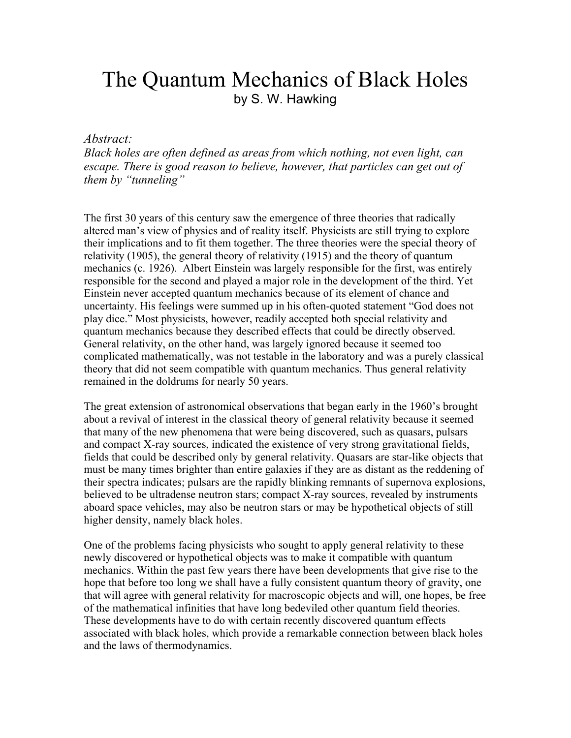## The Quantum Mechanics of Black Holes by S. W. Hawking

## *Abstract:*

*Black holes are often defined as areas from which nothing, not even light, can escape. There is good reason to believe, however, that particles can get out of them by "tunneling"*

The first 30 years of this century saw the emergence of three theories that radically altered man's view of physics and of reality itself. Physicists are still trying to explore their implications and to fit them together. The three theories were the special theory of relativity (1905), the general theory of relativity (1915) and the theory of quantum mechanics (c. 1926). Albert Einstein was largely responsible for the first, was entirely responsible for the second and played a major role in the development of the third. Yet Einstein never accepted quantum mechanics because of its element of chance and uncertainty. His feelings were summed up in his often-quoted statement "God does not play dice." Most physicists, however, readily accepted both special relativity and quantum mechanics because they described effects that could be directly observed. General relativity, on the other hand, was largely ignored because it seemed too complicated mathematically, was not testable in the laboratory and was a purely classical theory that did not seem compatible with quantum mechanics. Thus general relativity remained in the doldrums for nearly 50 years.

The great extension of astronomical observations that began early in the 1960's brought about a revival of interest in the classical theory of general relativity because it seemed that many of the new phenomena that were being discovered, such as quasars, pulsars and compact X-ray sources, indicated the existence of very strong gravitational fields, fields that could be described only by general relativity. Quasars are star-like objects that must be many times brighter than entire galaxies if they are as distant as the reddening of their spectra indicates; pulsars are the rapidly blinking remnants of supernova explosions, believed to be ultradense neutron stars; compact X-ray sources, revealed by instruments aboard space vehicles, may also be neutron stars or may be hypothetical objects of still higher density, namely black holes.

One of the problems facing physicists who sought to apply general relativity to these newly discovered or hypothetical objects was to make it compatible with quantum mechanics. Within the past few years there have been developments that give rise to the hope that before too long we shall have a fully consistent quantum theory of gravity, one that will agree with general relativity for macroscopic objects and will, one hopes, be free of the mathematical infinities that have long bedeviled other quantum field theories. These developments have to do with certain recently discovered quantum effects associated with black holes, which provide a remarkable connection between black holes and the laws of thermodynamics.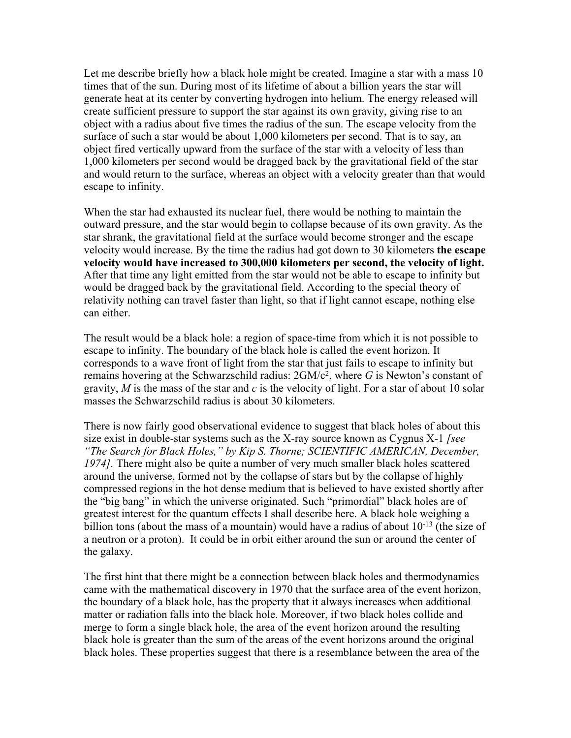Let me describe briefly how a black hole might be created. Imagine a star with a mass 10 times that of the sun. During most of its lifetime of about a billion years the star will generate heat at its center by converting hydrogen into helium. The energy released will create sufficient pressure to support the star against its own gravity, giving rise to an object with a radius about five times the radius of the sun. The escape velocity from the surface of such a star would be about 1,000 kilometers per second. That is to say, an object fired vertically upward from the surface of the star with a velocity of less than 1,000 kilometers per second would be dragged back by the gravitational field of the star and would return to the surface, whereas an object with a velocity greater than that would escape to infinity.

When the star had exhausted its nuclear fuel, there would be nothing to maintain the outward pressure, and the star would begin to collapse because of its own gravity. As the star shrank, the gravitational field at the surface would become stronger and the escape velocity would increase. By the time the radius had got down to 30 kilometers **the escape velocity would have increased to 300,000 kilometers per second, the velocity of light.**  After that time any light emitted from the star would not be able to escape to infinity but would be dragged back by the gravitational field. According to the special theory of relativity nothing can travel faster than light, so that if light cannot escape, nothing else can either.

The result would be a black hole: a region of space-time from which it is not possible to escape to infinity. The boundary of the black hole is called the event horizon. It corresponds to a wave front of light from the star that just fails to escape to infinity but remains hovering at the Schwarzschild radius: 2GM/c2, where *G* is Newton's constant of gravity, *M* is the mass of the star and *c* is the velocity of light. For a star of about 10 solar masses the Schwarzschild radius is about 30 kilometers.

There is now fairly good observational evidence to suggest that black holes of about this size exist in double-star systems such as the X-ray source known as Cygnus X-1 *[see "The Search for Black Holes," by Kip S. Thorne; SCIENTIFIC AMERICAN, December, 1974].* There might also be quite a number of very much smaller black holes scattered around the universe, formed not by the collapse of stars but by the collapse of highly compressed regions in the hot dense medium that is believed to have existed shortly after the "big bang" in which the universe originated. Such "primordial" black holes are of greatest interest for the quantum effects I shall describe here. A black hole weighing a billion tons (about the mass of a mountain) would have a radius of about 10<sup>-13</sup> (the size of a neutron or a proton). It could be in orbit either around the sun or around the center of the galaxy.

The first hint that there might be a connection between black holes and thermodynamics came with the mathematical discovery in 1970 that the surface area of the event horizon, the boundary of a black hole, has the property that it always increases when additional matter or radiation falls into the black hole. Moreover, if two black holes collide and merge to form a single black hole, the area of the event horizon around the resulting black hole is greater than the sum of the areas of the event horizons around the original black holes. These properties suggest that there is a resemblance between the area of the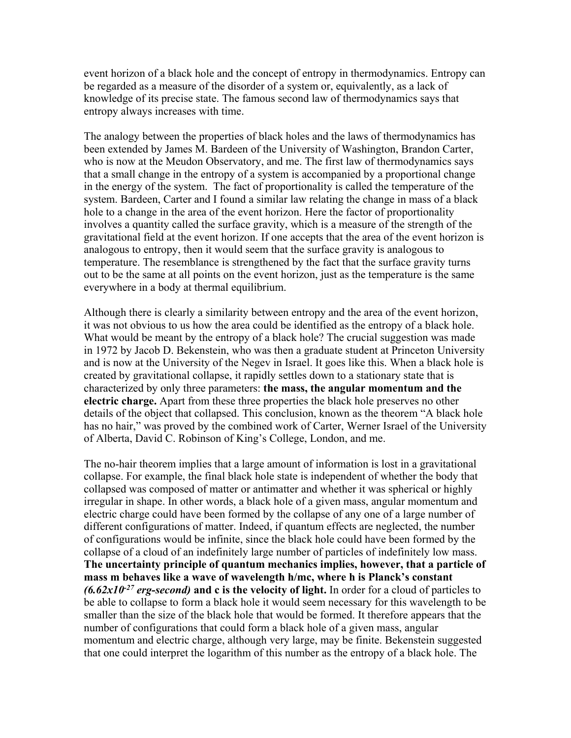event horizon of a black hole and the concept of entropy in thermodynamics. Entropy can be regarded as a measure of the disorder of a system or, equivalently, as a lack of knowledge of its precise state. The famous second law of thermodynamics says that entropy always increases with time.

The analogy between the properties of black holes and the laws of thermodynamics has been extended by James M. Bardeen of the University of Washington, Brandon Carter, who is now at the Meudon Observatory, and me. The first law of thermodynamics says that a small change in the entropy of a system is accompanied by a proportional change in the energy of the system. The fact of proportionality is called the temperature of the system. Bardeen, Carter and I found a similar law relating the change in mass of a black hole to a change in the area of the event horizon. Here the factor of proportionality involves a quantity called the surface gravity, which is a measure of the strength of the gravitational field at the event horizon. If one accepts that the area of the event horizon is analogous to entropy, then it would seem that the surface gravity is analogous to temperature. The resemblance is strengthened by the fact that the surface gravity turns out to be the same at all points on the event horizon, just as the temperature is the same everywhere in a body at thermal equilibrium.

Although there is clearly a similarity between entropy and the area of the event horizon, it was not obvious to us how the area could be identified as the entropy of a black hole. What would be meant by the entropy of a black hole? The crucial suggestion was made in 1972 by Jacob D. Bekenstein, who was then a graduate student at Princeton University and is now at the University of the Negev in Israel. It goes like this. When a black hole is created by gravitational collapse, it rapidly settles down to a stationary state that is characterized by only three parameters: **the mass, the angular momentum and the electric charge.** Apart from these three properties the black hole preserves no other details of the object that collapsed. This conclusion, known as the theorem "A black hole has no hair," was proved by the combined work of Carter, Werner Israel of the University of Alberta, David C. Robinson of King's College, London, and me.

The no-hair theorem implies that a large amount of information is lost in a gravitational collapse. For example, the final black hole state is independent of whether the body that collapsed was composed of matter or antimatter and whether it was spherical or highly irregular in shape. In other words, a black hole of a given mass, angular momentum and electric charge could have been formed by the collapse of any one of a large number of different configurations of matter. Indeed, if quantum effects are neglected, the number of configurations would be infinite, since the black hole could have been formed by the collapse of a cloud of an indefinitely large number of particles of indefinitely low mass. **The uncertainty principle of quantum mechanics implies, however, that a particle of mass m behaves like a wave of wavelength h/mc, where h is Planck's constant**  *(6.62x10-27 erg-second)* **and c is the velocity of light.** In order for a cloud of particles to be able to collapse to form a black hole it would seem necessary for this wavelength to be smaller than the size of the black hole that would be formed. It therefore appears that the number of configurations that could form a black hole of a given mass, angular momentum and electric charge, although very large, may be finite. Bekenstein suggested that one could interpret the logarithm of this number as the entropy of a black hole. The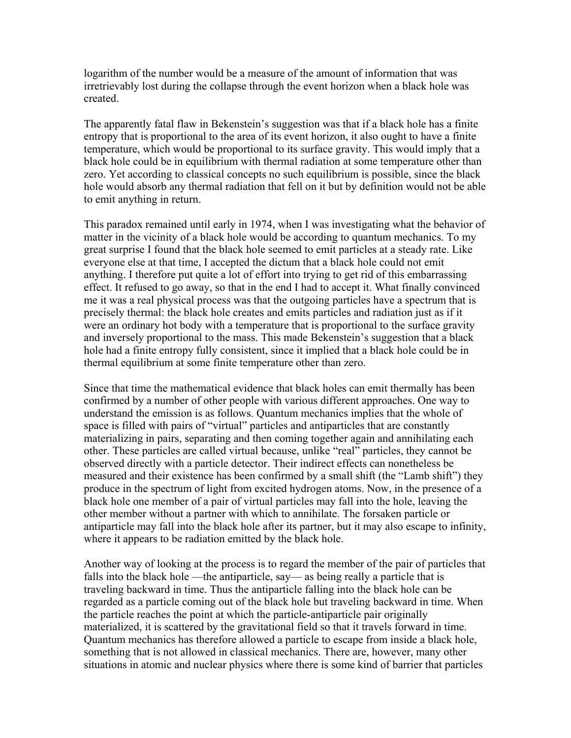logarithm of the number would be a measure of the amount of information that was irretrievably lost during the collapse through the event horizon when a black hole was created.

The apparently fatal flaw in Bekenstein's suggestion was that if a black hole has a finite entropy that is proportional to the area of its event horizon, it also ought to have a finite temperature, which would be proportional to its surface gravity. This would imply that a black hole could be in equilibrium with thermal radiation at some temperature other than zero. Yet according to classical concepts no such equilibrium is possible, since the black hole would absorb any thermal radiation that fell on it but by definition would not be able to emit anything in return.

This paradox remained until early in 1974, when I was investigating what the behavior of matter in the vicinity of a black hole would be according to quantum mechanics. To my great surprise I found that the black hole seemed to emit particles at a steady rate. Like everyone else at that time, I accepted the dictum that a black hole could not emit anything. I therefore put quite a lot of effort into trying to get rid of this embarrassing effect. It refused to go away, so that in the end I had to accept it. What finally convinced me it was a real physical process was that the outgoing particles have a spectrum that is precisely thermal: the black hole creates and emits particles and radiation just as if it were an ordinary hot body with a temperature that is proportional to the surface gravity and inversely proportional to the mass. This made Bekenstein's suggestion that a black hole had a finite entropy fully consistent, since it implied that a black hole could be in thermal equilibrium at some finite temperature other than zero.

Since that time the mathematical evidence that black holes can emit thermally has been confirmed by a number of other people with various different approaches. One way to understand the emission is as follows. Quantum mechanics implies that the whole of space is filled with pairs of "virtual" particles and antiparticles that are constantly materializing in pairs, separating and then coming together again and annihilating each other. These particles are called virtual because, unlike "real" particles, they cannot be observed directly with a particle detector. Their indirect effects can nonetheless be measured and their existence has been confirmed by a small shift (the "Lamb shift") they produce in the spectrum of light from excited hydrogen atoms. Now, in the presence of a black hole one member of a pair of virtual particles may fall into the hole, leaving the other member without a partner with which to annihilate. The forsaken particle or antiparticle may fall into the black hole after its partner, but it may also escape to infinity, where it appears to be radiation emitted by the black hole.

Another way of looking at the process is to regard the member of the pair of particles that falls into the black hole —the antiparticle, say— as being really a particle that is traveling backward in time. Thus the antiparticle falling into the black hole can be regarded as a particle coming out of the black hole but traveling backward in time. When the particle reaches the point at which the particle-antiparticle pair originally materialized, it is scattered by the gravitational field so that it travels forward in time. Quantum mechanics has therefore allowed a particle to escape from inside a black hole, something that is not allowed in classical mechanics. There are, however, many other situations in atomic and nuclear physics where there is some kind of barrier that particles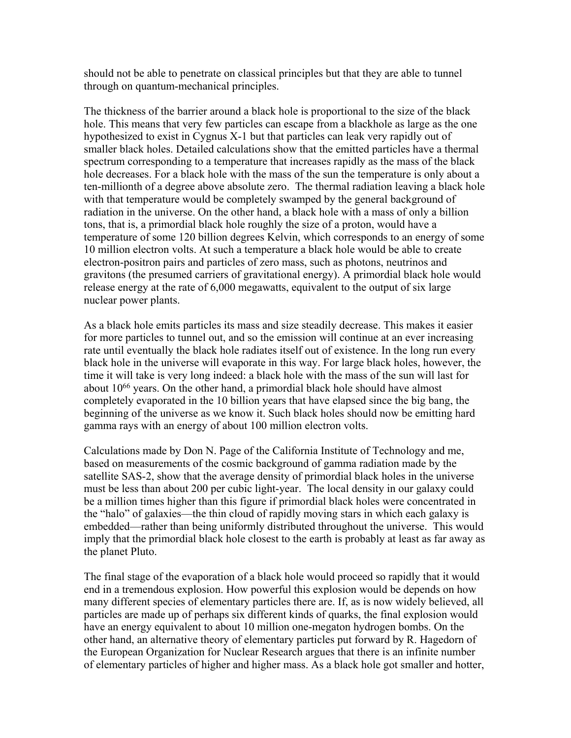should not be able to penetrate on classical principles but that they are able to tunnel through on quantum-mechanical principles.

The thickness of the barrier around a black hole is proportional to the size of the black hole. This means that very few particles can escape from a blackhole as large as the one hypothesized to exist in Cygnus X-1 but that particles can leak very rapidly out of smaller black holes. Detailed calculations show that the emitted particles have a thermal spectrum corresponding to a temperature that increases rapidly as the mass of the black hole decreases. For a black hole with the mass of the sun the temperature is only about a ten-millionth of a degree above absolute zero. The thermal radiation leaving a black hole with that temperature would be completely swamped by the general background of radiation in the universe. On the other hand, a black hole with a mass of only a billion tons, that is, a primordial black hole roughly the size of a proton, would have a temperature of some 120 billion degrees Kelvin, which corresponds to an energy of some 10 million electron volts. At such a temperature a black hole would be able to create electron-positron pairs and particles of zero mass, such as photons, neutrinos and gravitons (the presumed carriers of gravitational energy). A primordial black hole would release energy at the rate of 6,000 megawatts, equivalent to the output of six large nuclear power plants.

As a black hole emits particles its mass and size steadily decrease. This makes it easier for more particles to tunnel out, and so the emission will continue at an ever increasing rate until eventually the black hole radiates itself out of existence. In the long run every black hole in the universe will evaporate in this way. For large black holes, however, the time it will take is very long indeed: a black hole with the mass of the sun will last for about 1066 years. On the other hand, a primordial black hole should have almost completely evaporated in the 10 billion years that have elapsed since the big bang, the beginning of the universe as we know it. Such black holes should now be emitting hard gamma rays with an energy of about 100 million electron volts.

Calculations made by Don N. Page of the California Institute of Technology and me, based on measurements of the cosmic background of gamma radiation made by the satellite SAS-2, show that the average density of primordial black holes in the universe must be less than about 200 per cubic light-year. The local density in our galaxy could be a million times higher than this figure if primordial black holes were concentrated in the "halo" of galaxies—the thin cloud of rapidly moving stars in which each galaxy is embedded—rather than being uniformly distributed throughout the universe. This would imply that the primordial black hole closest to the earth is probably at least as far away as the planet Pluto.

The final stage of the evaporation of a black hole would proceed so rapidly that it would end in a tremendous explosion. How powerful this explosion would be depends on how many different species of elementary particles there are. If, as is now widely believed, all particles are made up of perhaps six different kinds of quarks, the final explosion would have an energy equivalent to about 10 million one-megaton hydrogen bombs. On the other hand, an alternative theory of elementary particles put forward by R. Hagedorn of the European Organization for Nuclear Research argues that there is an infinite number of elementary particles of higher and higher mass. As a black hole got smaller and hotter,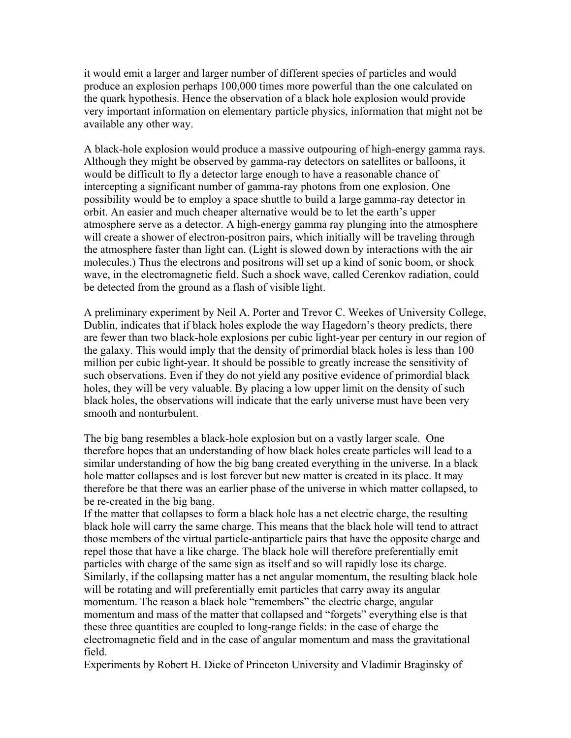it would emit a larger and larger number of different species of particles and would produce an explosion perhaps 100,000 times more powerful than the one calculated on the quark hypothesis. Hence the observation of a black hole explosion would provide very important information on elementary particle physics, information that might not be available any other way.

A black-hole explosion would produce a massive outpouring of high-energy gamma rays. Although they might be observed by gamma-ray detectors on satellites or balloons, it would be difficult to fly a detector large enough to have a reasonable chance of intercepting a significant number of gamma-ray photons from one explosion. One possibility would be to employ a space shuttle to build a large gamma-ray detector in orbit. An easier and much cheaper alternative would be to let the earth's upper atmosphere serve as a detector. A high-energy gamma ray plunging into the atmosphere will create a shower of electron-positron pairs, which initially will be traveling through the atmosphere faster than light can. (Light is slowed down by interactions with the air molecules.) Thus the electrons and positrons will set up a kind of sonic boom, or shock wave, in the electromagnetic field. Such a shock wave, called Cerenkov radiation, could be detected from the ground as a flash of visible light.

A preliminary experiment by Neil A. Porter and Trevor C. Weekes of University College, Dublin, indicates that if black holes explode the way Hagedorn's theory predicts, there are fewer than two black-hole explosions per cubic light-year per century in our region of the galaxy. This would imply that the density of primordial black holes is less than 100 million per cubic light-year. It should be possible to greatly increase the sensitivity of such observations. Even if they do not yield any positive evidence of primordial black holes, they will be very valuable. By placing a low upper limit on the density of such black holes, the observations will indicate that the early universe must have been very smooth and nonturbulent.

The big bang resembles a black-hole explosion but on a vastly larger scale. One therefore hopes that an understanding of how black holes create particles will lead to a similar understanding of how the big bang created everything in the universe. In a black hole matter collapses and is lost forever but new matter is created in its place. It may therefore be that there was an earlier phase of the universe in which matter collapsed, to be re-created in the big bang.

If the matter that collapses to form a black hole has a net electric charge, the resulting black hole will carry the same charge. This means that the black hole will tend to attract those members of the virtual particle-antiparticle pairs that have the opposite charge and repel those that have a like charge. The black hole will therefore preferentially emit particles with charge of the same sign as itself and so will rapidly lose its charge. Similarly, if the collapsing matter has a net angular momentum, the resulting black hole will be rotating and will preferentially emit particles that carry away its angular momentum. The reason a black hole "remembers" the electric charge, angular momentum and mass of the matter that collapsed and "forgets" everything else is that these three quantities are coupled to long-range fields: in the case of charge the electromagnetic field and in the case of angular momentum and mass the gravitational field.

Experiments by Robert H. Dicke of Princeton University and Vladimir Braginsky of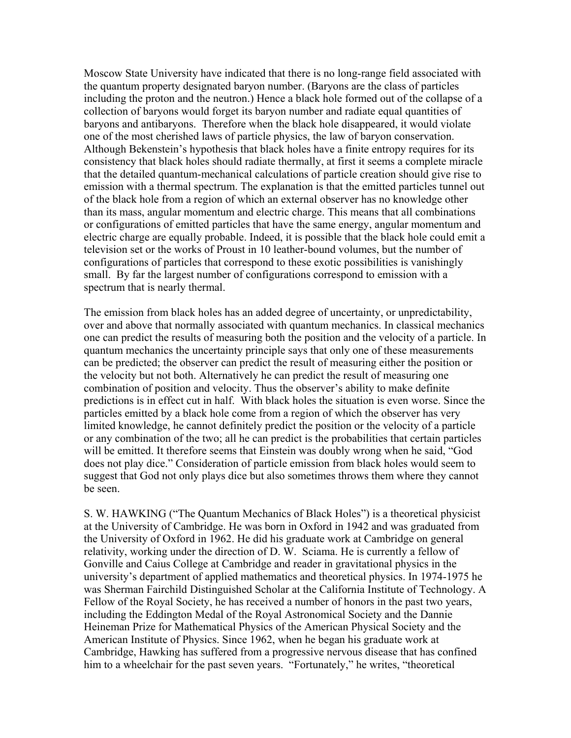Moscow State University have indicated that there is no long-range field associated with the quantum property designated baryon number. (Baryons are the class of particles including the proton and the neutron.) Hence a black hole formed out of the collapse of a collection of baryons would forget its baryon number and radiate equal quantities of baryons and antibaryons. Therefore when the black hole disappeared, it would violate one of the most cherished laws of particle physics, the law of baryon conservation. Although Bekenstein's hypothesis that black holes have a finite entropy requires for its consistency that black holes should radiate thermally, at first it seems a complete miracle that the detailed quantum-mechanical calculations of particle creation should give rise to emission with a thermal spectrum. The explanation is that the emitted particles tunnel out of the black hole from a region of which an external observer has no knowledge other than its mass, angular momentum and electric charge. This means that all combinations or configurations of emitted particles that have the same energy, angular momentum and electric charge are equally probable. Indeed, it is possible that the black hole could emit a television set or the works of Proust in 10 leather-bound volumes, but the number of configurations of particles that correspond to these exotic possibilities is vanishingly small. By far the largest number of configurations correspond to emission with a spectrum that is nearly thermal.

The emission from black holes has an added degree of uncertainty, or unpredictability, over and above that normally associated with quantum mechanics. In classical mechanics one can predict the results of measuring both the position and the velocity of a particle. In quantum mechanics the uncertainty principle says that only one of these measurements can be predicted; the observer can predict the result of measuring either the position or the velocity but not both. Alternatively he can predict the result of measuring one combination of position and velocity. Thus the observer's ability to make definite predictions is in effect cut in half. With black holes the situation is even worse. Since the particles emitted by a black hole come from a region of which the observer has very limited knowledge, he cannot definitely predict the position or the velocity of a particle or any combination of the two; all he can predict is the probabilities that certain particles will be emitted. It therefore seems that Einstein was doubly wrong when he said, "God does not play dice." Consideration of particle emission from black holes would seem to suggest that God not only plays dice but also sometimes throws them where they cannot be seen.

S. W. HAWKING ("The Quantum Mechanics of Black Holes") is a theoretical physicist at the University of Cambridge. He was born in Oxford in 1942 and was graduated from the University of Oxford in 1962. He did his graduate work at Cambridge on general relativity, working under the direction of D. W. Sciama. He is currently a fellow of Gonville and Caius College at Cambridge and reader in gravitational physics in the university's department of applied mathematics and theoretical physics. In 1974-1975 he was Sherman Fairchild Distinguished Scholar at the California Institute of Technology. A Fellow of the Royal Society, he has received a number of honors in the past two years, including the Eddington Medal of the Royal Astronomical Society and the Dannie Heineman Prize for Mathematical Physics of the American Physical Society and the American Institute of Physics. Since 1962, when he began his graduate work at Cambridge, Hawking has suffered from a progressive nervous disease that has confined him to a wheelchair for the past seven years. "Fortunately," he writes, "theoretical